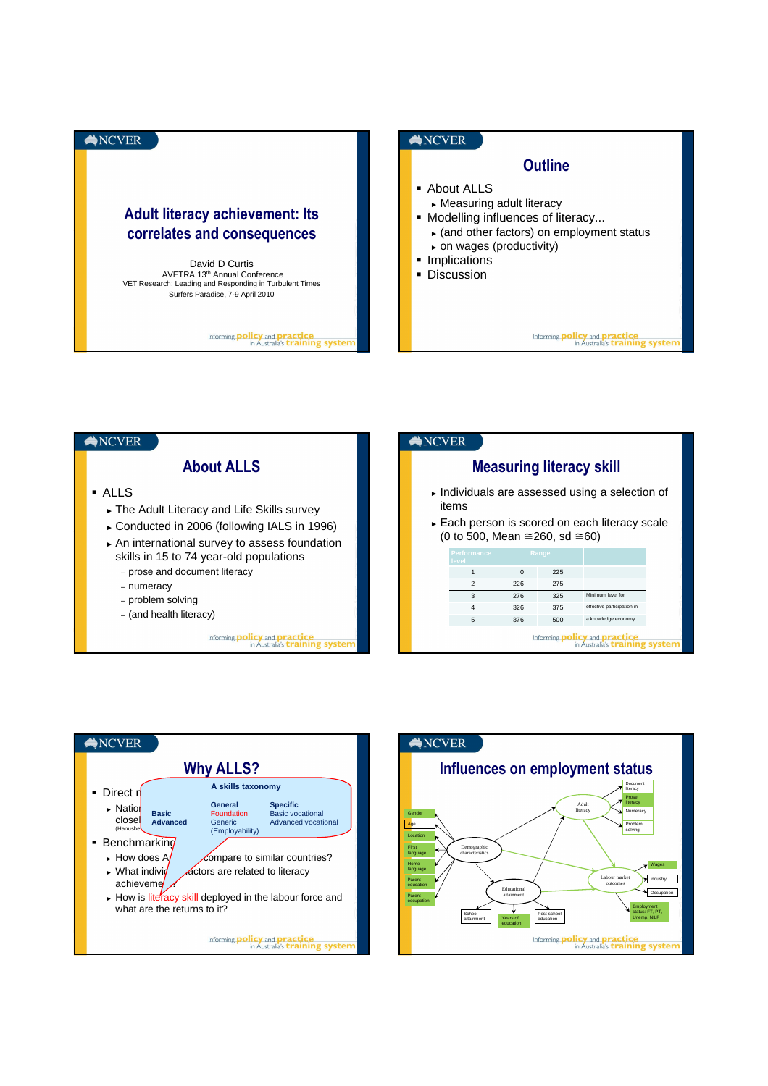